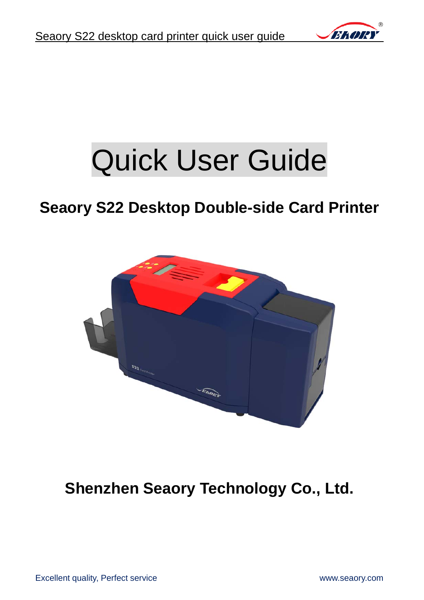

# Quick User Guide

## **Seaory S22 Desktop Double-side Card Printer**



**Shenzhen Seaory Technology Co., Ltd.**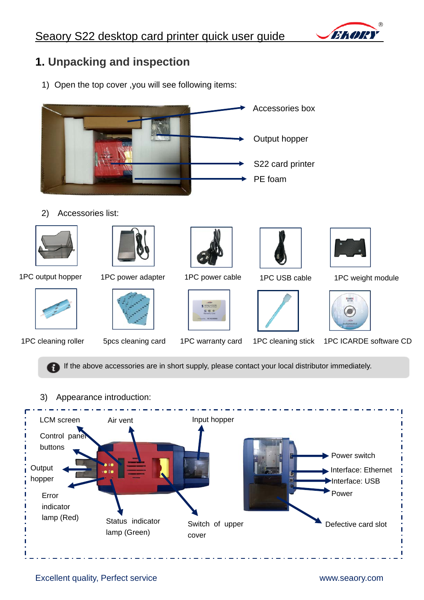

### **1. Unpacking and inspection**

1) Open the top cover ,you will see following items:



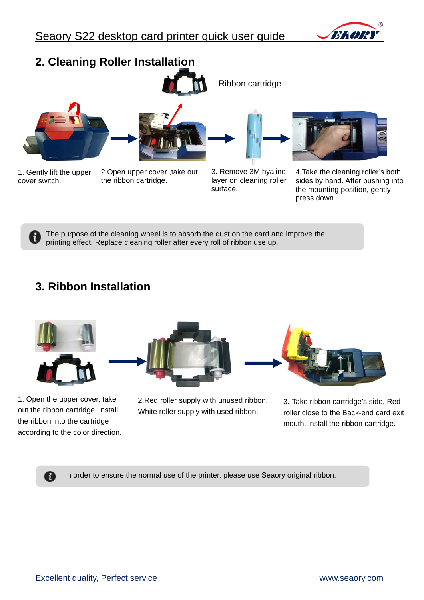



The purpose of the cleaning wheel is to absorb the dust on the card and improve the printing effect. Replace cleaning roller after every roll of ribbon use up.

### **3. Ribbon Installation**



1. Open the upper cover, take out the ribbon cartridge, install the ribbon into the cartridge according to the color direction.

A



2.Red roller supply with unused ribbon. White roller supply with used ribbon.



3. Take ribbon cartridge's side, Red roller close to the Back-end card exit mouth, install the ribbon cartridge.

In order to ensure the normal use of the printer, please use Seaory original ribbon.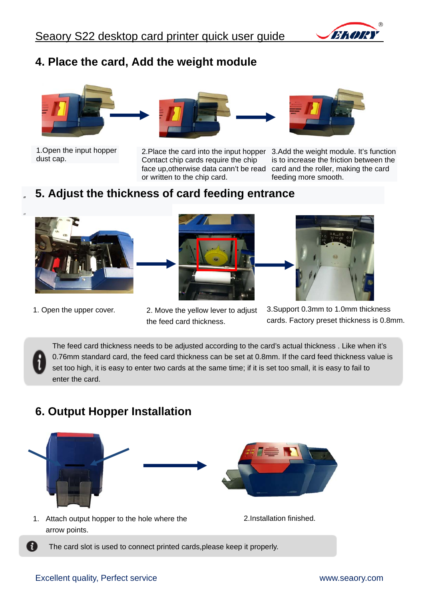

#### **4. Place the card, Add the weight module**



1.Open the input hopper dust cap.



2.Place the card into the input hopper 3.Add the weight module. It's function face up,otherwise data cann't be read card and the roller, making the card is to increase the friction between the feeding more smooth.

#### " **5. Adjust the thickness of card feeding entrance**



1. Open the upper cover. 2. Move the yellow lever to adjust



Contact chip cards require the chip

or written to the chip card.

the feed card thickness.



3.Support 0.3mm to 1.0mm thickness cards. Factory preset thickness is 0.8mm.

The feed card thickness needs to be adjusted according to the card's actual thickness . Like when it's 0.76mm standard card, the feed card thickness can be set at 0.8mm. If the card feed thickness value is set too high, it is easy to enter two cards at the same time; if it is set too small, it is easy to fail to enter the card.

#### **6. Output Hopper Installation**



- arrow points.
- 
- $\mathbf{i}$ The card slot is used to connect printed cards,please keep it properly.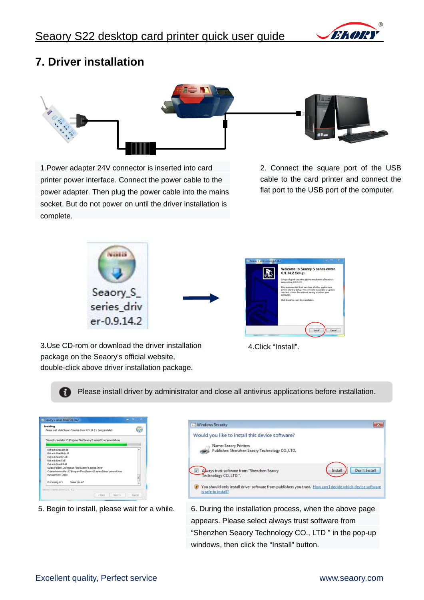

#### **7. Driver installation**



1.Power adapter 24V connector is inserted into card printer power interface. Connect the power cable to the power adapter. Then plug the power cable into the mains socket. But do not power on until the driver installation is complete.

2. Connect the square port of the USB cable to the card printer and connect the flat port to the USB port of the computer.



3.Use CD-rom or download the driver installation package on the Seaory's official website, double-click above driver installation package.



4.Click "Install".

Please install driver by administrator and close all antivirus applications before installation. Ŧ

|                             |                                                         | Please wait while Seaory S series driver 0.9.14.2 is being installed.      |   |
|-----------------------------|---------------------------------------------------------|----------------------------------------------------------------------------|---|
|                             |                                                         | Created uninstaller: C:\Program Files\Seaory\S series Driver\uninstall.exe |   |
| Extract: SeaColor.dll       |                                                         |                                                                            |   |
| Extract: Seal.Mhip.dll      |                                                         |                                                                            |   |
| Extract: SeaMon.dll         |                                                         |                                                                            |   |
| Extract: SeaULdl            |                                                         |                                                                            |   |
| <b>Fytract: Seal NI dll</b> |                                                         |                                                                            |   |
|                             | Output folder: C: \Program Files\Seaory\S series Driver |                                                                            |   |
|                             |                                                         | Created uninstaller: C: Program Files Geaory G series Driver uninstall.exe |   |
| Microsoft PrP Utility       |                                                         |                                                                            | £ |
| Processing inf:             | SeacrySx.inf                                            |                                                                            |   |
|                             |                                                         |                                                                            |   |



5. Begin to install, please wait for a while. 6. During the installation process, when the above page appears. Please select always trust software from "Shenzhen Seaory Technology CO., LTD " in the pop-up windows, then click the "Install" button.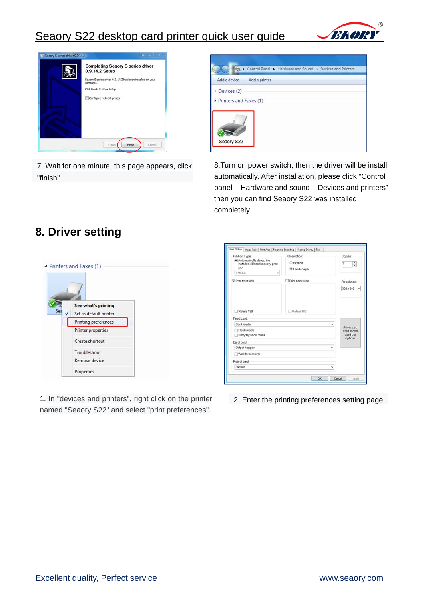### Seaory S22 desktop card printer quick user guide





7. Wait for one minute, this page appears, click "finish".



8.Turn on power switch, then the driver will be install automatically. After installation, please click "Control panel – Hardware and sound – Devices and printers" then you can find Seaory S22 was installed completely.

#### **8. Driver setting**



1. In "devices and printers", right click on the printer 2. Enter the printing preferences setting page. named "Seaory S22" and select "print preferences".

| Ribbon Type:<br>Automatically detect the<br>installed ribbon for every print<br>job.<br><b>YMCKO</b><br>ü | Orientation:<br>Portrait<br>· Landscape | Copies:<br>$\frac{1}{\epsilon}$<br>ı           |
|-----------------------------------------------------------------------------------------------------------|-----------------------------------------|------------------------------------------------|
| Print front side                                                                                          | Print back side                         | Resolution:                                    |
|                                                                                                           |                                         | $300 \times 300$<br>$\sim$                     |
| Rotate 180                                                                                                | Rotate 180                              |                                                |
| Feed card:<br>Card feeder                                                                                 |                                         | v                                              |
| Hook mode<br>Retry by hook mode                                                                           |                                         | Advanced<br>card in and<br>card out<br>options |
| Eject card:                                                                                               |                                         |                                                |
| Output hopper                                                                                             |                                         | v                                              |
| Wait for removal                                                                                          |                                         |                                                |
| Reject card:                                                                                              |                                         |                                                |
| Default                                                                                                   |                                         | w                                              |